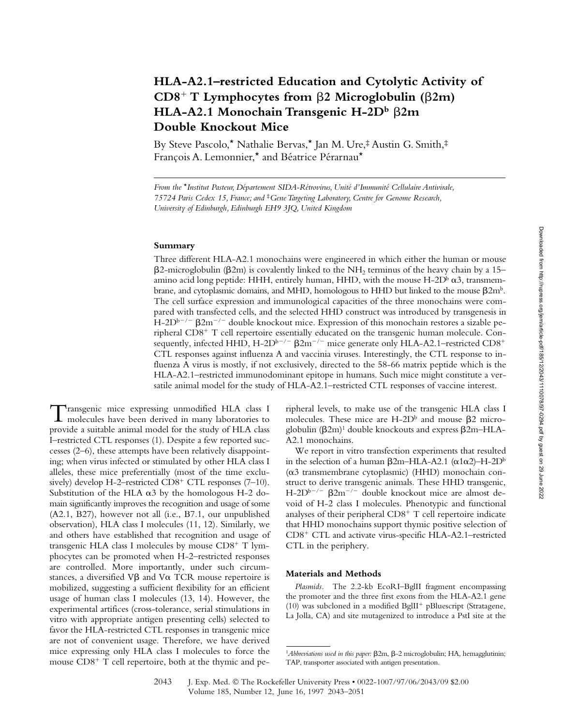# **HLA-A2.1–restricted Education and Cytolytic Activity of CD8**- **T Lymphocytes from 2 Microglobulin (2m) HLA-A2.1 Monochain Transgenic H-2D<sup>b</sup>** β2m **Double Knockout Mice**

By Steve Pascolo,\* Nathalie Bervas,\* Jan M. Ure,‡ Austin G. Smith,‡ François A. Lemonnier,\* and Béatrice Pérarnau\*

*From the* \**Institut Pasteur, Département SIDA-Rétrovirus, Unité d'Immunité Cellulaire Antivirale, 75724 Paris Cedex 15, France; and* ‡*Gene Targeting Laboratory, Centre for Genome Research, University of Edinburgh, Edinburgh EH9 3JQ, United Kingdom*

### **Summary**

Three different HLA-A2.1 monochains were engineered in which either the human or mouse  $\beta$ 2-microglobulin ( $\beta$ 2m) is covalently linked to the NH<sub>2</sub> terminus of the heavy chain by a 15– amino acid long peptide: HHH, entirely human, HHD, with the mouse  $H\text{-}2D^b \alpha 3$ , transmembrane, and cytoplasmic domains, and MHD, homologous to HHD but linked to the mouse  $\beta 2m^b$ . The cell surface expression and immunological capacities of the three monochains were compared with transfected cells, and the selected HHD construct was introduced by transgenesis in  $H$ -2D<sup>b-/-</sup>  $\beta$ 2m<sup>-/-</sup> double knockout mice. Expression of this monochain restores a sizable peripheral CD8<sup>+</sup> T cell repertoire essentially educated on the transgenic human molecule. Consequently, infected HHD, H-2D<sup>b–/–</sup>  $\beta$ 2m<sup>–/–</sup> mice generate only HLA-A2.1–restricted CD8<sup>+</sup> CTL responses against influenza A and vaccinia viruses. Interestingly, the CTL response to influenza A virus is mostly, if not exclusively, directed to the 58-66 matrix peptide which is the HLA-A2.1–restricted immunodominant epitope in humans. Such mice might constitute a versatile animal model for the study of HLA-A2.1–restricted CTL responses of vaccine interest.

Transgenic mice expressing unmodified HLA class I<br>molecules have been derived in many laboratories to provide a suitable animal model for the study of HLA class I–restricted CTL responses (1). Despite a few reported successes (2–6), these attempts have been relatively disappointing; when virus infected or stimulated by other HLA class I alleles, these mice preferentially (most of the time exclusively) develop H-2-restricted CD8<sup>+</sup> CTL responses (7-10). Substitution of the HLA  $\alpha$ 3 by the homologous H-2 domain significantly improves the recognition and usage of some (A2.1, B27), however not all (i.e., B7.1, our unpublished observation), HLA class I molecules (11, 12). Similarly, we and others have established that recognition and usage of transgenic HLA class I molecules by mouse CD8<sup>+</sup> T lymphocytes can be promoted when H-2–restricted responses are controlled. More importantly, under such circumstances, a diversified  $V\beta$  and  $V\alpha$  TCR mouse repertoire is mobilized, suggesting a sufficient flexibility for an efficient usage of human class I molecules (13, 14). However, the experimental artifices (cross-tolerance, serial stimulations in vitro with appropriate antigen presenting cells) selected to favor the HLA-restricted CTL responses in transgenic mice are not of convenient usage. Therefore, we have derived mice expressing only HLA class I molecules to force the mouse CD8<sup>+</sup> T cell repertoire, both at the thymic and pe-

ripheral levels, to make use of the transgenic HLA class I molecules. These mice are  $H$ -2D<sup>b</sup> and mouse  $\beta$ 2 microglobulin  $(\beta 2m)^1$  double knockouts and express  $\beta 2m$ –HLA– A2.1 monochains.

We report in vitro transfection experiments that resulted in the selection of a human  $\beta$ 2m–HLA-A2.1 ( $\alpha$ 1 $\alpha$ 2)–H–2D<sup>b</sup>  $(\alpha$ 3 transmembrane cytoplasmic) (HHD) monochain construct to derive transgenic animals. These HHD transgenic, H-2D<sup>b-/-</sup>  $\beta$ 2m<sup>-/-</sup> double knockout mice are almost devoid of H-2 class I molecules. Phenotypic and functional analyses of their peripheral CD8<sup>+</sup> T cell repertoire indicate that HHD monochains support thymic positive selection of CD8- CTL and activate virus-specific HLA-A2.1–restricted CTL in the periphery.

#### **Materials and Methods**

*Plasmids.* The 2.2-kb EcoRI–BglII fragment encompassing the promoter and the three first exons from the HLA-A2.1 gene (10) was subcloned in a modified BglII<sup>+</sup> pBluescript (Stratagene, La Jolla, CA) and site mutagenized to introduce a PstI site at the

<sup>&</sup>lt;sup>1</sup>Abbreviations used in this paper:  $\beta$ 2m,  $\beta$ -2 microglobulin; HA, hemagglutinin; TAP, transporter associated with antigen presentation.

<sup>2043</sup> J. Exp. Med. The Rockefeller University Press • 0022-1007/97/06/2043/09 \$2.00 Volume 185, Number 12, June 16, 1997 2043–2051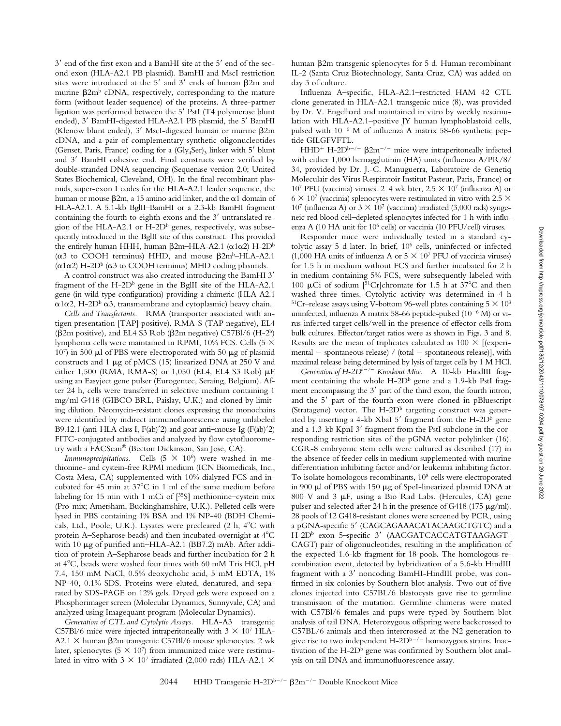$3'$  end of the first exon and a BamHI site at the  $5'$  end of the second exon (HLA-A2.1 PB plasmid). BamHI and MscI restriction sites were introduced at the  $5'$  and  $3'$  ends of human  $\beta$ 2m and murine  $\beta$ 2m<sup>b</sup> cDNA, respectively, corresponding to the mature form (without leader sequence) of the proteins. A three-partner ligation was performed between the 5' PstI (T4 polymerase blunt ended), 3' BamHI-digested HLA-A2.1 PB plasmid, the 5' BamHI (Klenow blunt ended),  $3'$  MscI-digested human or murine  $\beta$ 2m cDNA, and a pair of complementary synthetic oligonucleotides (Genset, Paris, France) coding for a  $(Gly<sub>4</sub>Ser)<sub>3</sub>$  linker with 5' blunt and 3' BamHI cohesive end. Final constructs were verified by double-stranded DNA sequencing (Sequenase version 2.0; United States Biochemical, Cleveland, OH). In the final recombinant plasmids, super-exon I codes for the HLA-A2.1 leader sequence, the human or mouse  $\beta$ 2m, a 15 amino acid linker, and the  $\alpha$ 1 domain of HLA-A2.1. A 5.1-kb BglII–BamHI or a 2.3-kb BamHI fragment containing the fourth to eighth exons and the 3' untranslated region of the HLA-A2.1 or  $H$ -2D<sup>b</sup> genes, respectively, was subsequently introduced in the BglII site of this construct. This provided the entirely human HHH, human  $\beta$ 2m–HLA-A2.1 ( $\alpha$ 1 $\alpha$ 2) H-2D<sup>b</sup> ( $\alpha$ 3 to COOH terminus) HHD, and mouse  $\beta$ 2m<sup>b</sup>–HLA-A2.1  $(\alpha 1\alpha 2)$  H-2D<sup>b</sup> ( $\alpha$ 3 to COOH terminus) MHD coding plasmids.

A control construct was also created introducing the BamHI 3 fragment of the H-2D $^{\rm b}$  gene in the BglII site of the HLA-A2.1 gene (in wild-type configuration) providing a chimeric (HLA-A2.1  $\alpha$ 1 $\alpha$ 2, H-2D<sup>b</sup>  $\alpha$ 3, transmembrane and cytoplasmic) heavy chain.

*Cells and Transfectants.* RMA (transporter associated with antigen presentation [TAP] positive), RMA-S (TAP negative), EL4 ( $\beta$ 2m positive), and EL4 S3 Rob ( $\beta$ 2m negative) C57Bl/6 (H-2<sup>b</sup>) lymphoma cells were maintained in RPMI, 10% FCS. Cells (5 107) in 500  $\mu$ l of PBS were electroporated with 50  $\mu$ g of plasmid constructs and 1  $\mu$ g of pMCS (15) linearized DNA at 250 V and either 1,500 (RMA, RMA-S) or 1,050 (EL4, EL4 S3 Rob)  $\mu$ F using an Easyject gene pulser (Eurogentec, Seraing, Belgium). After 24 h, cells were transferred in selective medium containing 1 mg/ml G418 (GIBCO BRL, Paislay, U.K.) and cloned by limiting dilution. Neomycin-resistant clones expressing the monochains were identified by indirect immunofluorescence using unlabeled B9.12.1 (anti-HLA class I,  $F(ab)'2$ ) and goat anti-mouse Ig  $(F(ab)'2)$ FITC-conjugated antibodies and analyzed by flow cytofluorometry with a FACScan® (Becton Dickinson, San Jose, CA).

*Immunoprecipitations.* Cells  $(5 \times 10^6)$  were washed in methionine- and cystein-free RPMI medium (ICN Biomedicals, Inc., Costa Mesa, CA) supplemented with 10% dialyzed FCS and incubated for 45 min at  $37^{\circ}$ C in 1 ml of the same medium before labeling for 15 min with 1 mCi of [35S] methionine–cystein mix (Pro-mix; Amersham, Buckinghamshire, U.K.). Pelleted cells were lysed in PBS containing 1% BSA and 1% NP-40 (BDH Chemicals, Ltd., Poole, U.K.). Lysates were precleared (2 h, 4°C with protein A–Sepharose beads) and then incubated overnight at  $4^{\circ}$ C with 10 µg of purified anti-HLA-A2.1 (BB7.2) mAb. After addition of protein A–Sepharose beads and further incubation for 2 h at 4 C, beads were washed four times with 60 mM Tris HCl, pH 7.4, 150 mM NaCl, 0.5% deoxycholic acid, 5 mM EDTA, 1% NP-40, 0.1% SDS. Proteins were eluted, denatured, and separated by SDS-PAGE on 12% gels. Dryed gels were exposed on a Phosphorimager screen (Molecular Dynamics, Sunnyvale, CA) and analyzed using Imagequant program (Molecular Dynamics).

*Generation of CTL and Cytolytic Assays.* HLA-A3 transgenic C57Bl/6 mice were injected intraperitoneally with  $3 \times 10^7$  HLA-A2.1  $\times$  human  $\beta$ 2m transgenic C57Bl/6 mouse splenocytes. 2 wk later, splenocytes (5  $\times$  10<sup>7</sup>) from immunized mice were restimulated in vitro with  $3 \times 10^7$  irradiated (2,000 rads) HLA-A2.1  $\times$ 

human  $\beta$ 2m transgenic splenocytes for 5 d. Human recombinant IL-2 (Santa Cruz Biotechnology, Santa Cruz, CA) was added on day 3 of culture.

Influenza A–specific, HLA-A2.1–restricted HAM 42 CTL clone generated in HLA-A2.1 transgenic mice (8), was provided by Dr. V. Engelhard and maintained in vitro by weekly restimulation with HLA-A2.1–positive JY human lymphoblastoid cells, pulsed with  $10^{-6}$  M of influenza A matrix 58-66 synthetic peptide GILGFVFTL.

 $HHD^+$  H-2 $D^{b-/-}$   $\beta$ 2m<sup>-/-</sup> mice were intraperitoneally infected with either 1,000 hemagglutinin (HA) units (influenza A/PR/8/ 34, provided by Dr. J.-C. Manuguerra, Laboratoire de Genetiq Moleculair des Virus Respiratoir Institut Pasteur, Paris, France) or 107 PFU (vaccinia) viruses. 2–4 wk later,  $2.5 \times 10^7$  (influenza A) or  $6 \times 10^7$  (vaccinia) splenocytes were restimulated in vitro with 2.5  $\times$ 10<sup>7</sup> (influenza A) or  $3 \times 10^7$  (vaccinia) irradiated (3,000 rads) syngeneic red blood cell–depleted splenocytes infected for 1 h with influenza A (10 HA unit for 10<sup>6</sup> cells) or vaccinia (10 PFU/cell) viruses.

Responder mice were individually tested in a standard cytolytic assay 5 d later. In brief, 106 cells, uninfected or infected (1,000 HA units of influenza A or  $5 \times 10^7$  PFU of vaccinia viruses) for 1.5 h in medium without FCS and further incubated for 2 h in medium containing 5% FCS, were subsequently labeled with 100  $\mu$ Ci of sodium [<sup>51</sup>Cr]chromate for 1.5 h at 37<sup>o</sup>C and then washed three times. Cytolytic activity was determined in 4 h <sup>51</sup>Cr–release assays using V-bottom 96-well plates containing  $5 \times 10^3$ uninfected, influenza A matrix 58-66 peptide-pulsed  $(10^{-6}$  M) or virus-infected target cells/well in the presence of effector cells from bulk cultures. Effector/target ratios were as shown in Figs. 3 and 8. Results are the mean of triplicates calculated as  $100 \times$  [(experimental  $-$  spontaneous release) / (total  $-$  spontaneous release)], with maximal release being determined by lysis of target cells by 1 M HCl.

*Generation of H-2Db/ Knockout Mice.* A 10-kb HindIII fragment containing the whole  $H$ -2D<sup>b</sup> gene and a 1.9-kb PstI fragment encompassing the  $3'$  part of the third exon, the fourth intron, and the 5' part of the fourth exon were cloned in pBluescript (Stratagene) vector. The  $H$ -2D<sup>b</sup> targeting construct was generated by inserting a 4-kb XbaI 5' fragment from the H-2D<sup>b</sup> gene and a 1.3-kb KpnI 3' fragment from the PstI subclone in the corresponding restriction sites of the pGNA vector polylinker (16). CGR-8 embryonic stem cells were cultured as described (17) in the absence of feeder cells in medium supplemented with murine differentiation inhibiting factor and/or leukemia inhibiting factor. To isolate homologous recombinants, 108 cells were electroporated in 900 µl of PBS with 150 µg of SpeI-linearized plasmid DNA at 800 V and 3  $\mu$ F, using a Bio Rad Labs. (Hercules, CA) gene pulser and selected after 24 h in the presence of G418 (175  $\mu$ g/ml). 28 pools of 12 G418-resistant clones were screened by PCR, using a pGNA-specific 5' (CAGCAGAAACATACAAGCTGTC) and a H-2D<sup>b</sup> exon 5-specific 3' (AACGATCACCATGTAAGAGT-CAGT) pair of oligonucleotides, resulting in the amplification of the expected 1.6-kb fragment for 18 pools. The homologous recombination event, detected by hybridization of a 5.6-kb HindIII fragment with a 3' noncoding BamHI-HindIII probe, was confirmed in six colonies by Southern blot analysis. Two out of five clones injected into C57BL/6 blastocysts gave rise to germline transmission of the mutation. Germline chimeras were mated with C57Bl/6 females and pups were typed by Southern blot analysis of tail DNA. Heterozygous offspring were backcrossed to C57BL/6 animals and then intercrossed at the N2 generation to give rise to two independent  $H\text{-}2D^{b-/-}$  homozygous strains. Inactivation of the H-2D<sup>b</sup> gene was confirmed by Southern blot analysis on tail DNA and immunofluorescence assay.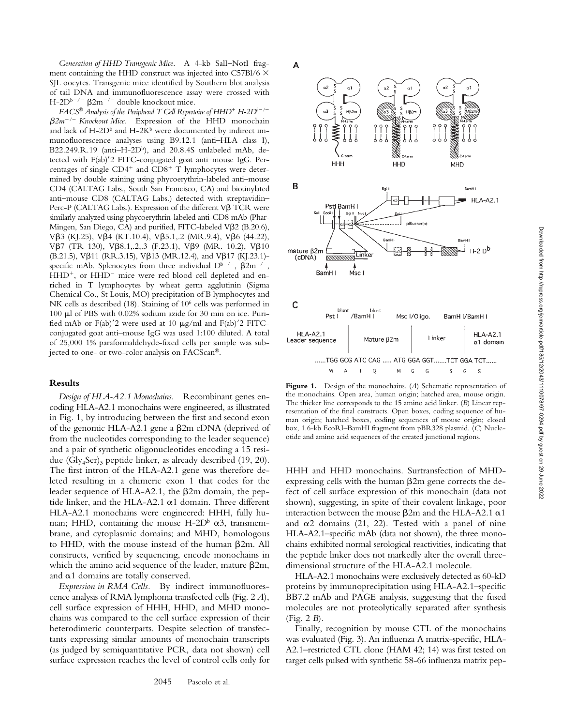*Generation of HHD Transgenic Mice.* A 4-kb SalI–NotI fragment containing the HHD construct was injected into C57Bl/6  $\times$ SJL oocytes. Transgenic mice identified by Southern blot analysis of tail DNA and immunofluorescence assay were crossed with H-2D<sup>b-/-</sup>  $\beta$ 2m<sup>-/-</sup> double knockout mice.

 $FACS^{\circledast}$  Analysis of the Peripheral T Cell Repertoire of HHD<sup>+</sup> H-2D<sup>b-/-</sup>  $\beta 2m^{-/-}$  Knockout Mice. Expression of the HHD monochain and lack of H-2D $^{\rm b}$  and H-2K $^{\rm b}$  were documented by indirect immunofluorescence analyses using B9.12.1 (anti–HLA class I), B22.249.R.19 (anti-H-2Db), and 20.8.4S unlabeled mAb, detected with F(ab)'2 FITC-conjugated goat anti-mouse IgG. Percentages of single CD4<sup>+</sup> and CD8<sup>+</sup> T lymphocytes were determined by double staining using phycoerythrin-labeled anti–mouse CD4 (CALTAG Labs., South San Francisco, CA) and biotinylated anti–mouse CD8 (CALTAG Labs.) detected with streptavidin– Perc-P (CALTAG Labs.). Expression of the different  $V\beta$  TCR were similarly analyzed using phycoerythrin-labeled anti-CD8 mAb (Phar-Mingen, San Diego, CA) and purified, FITC-labeled Vß2 (B.20.6), V $\beta$ 3 (KJ.25), V $\beta$ 4 (KT.10.4), V $\beta$ 5.1,.2 (MR.9.4), V $\beta$ 6 (44.22), V $\beta$ 7 (TR 130), V $\beta$ 8.1,.2,.3 (F.23.1), V $\beta$ 9 (MR. 10.2), V $\beta$ 10 (B.21.5), V $\beta$ 11 (RR.3.15), V $\beta$ 13 (MR.12.4), and V $\beta$ 17 (KJ.23.1)specific mAb. Splenocytes from three individual  $D^{b-/-}$ ,  $\beta 2m^{-/-}$ , HHD<sup>+</sup>, or HHD<sup>-</sup> mice were red blood cell depleted and enriched in T lymphocytes by wheat germ agglutinin (Sigma Chemical Co., St Louis, MO) precipitation of B lymphocytes and NK cells as described (18). Staining of 10<sup>6</sup> cells was performed in  $100 \mu$ l of PBS with 0.02% sodium azide for 30 min on ice. Purified mAb or F(ab)'2 were used at 10  $\mu$ g/ml and F(ab)'2 FITCconjugated goat anti–mouse IgG was used 1:100 diluted. A total of 25,000 1% paraformaldehyde-fixed cells per sample was subjected to one- or two-color analysis on FACScan®.

## **Results**

*Design of HLA-A2.1 Monochains.* Recombinant genes encoding HLA-A2.1 monochains were engineered, as illustrated in Fig. 1, by introducing between the first and second exon of the genomic HLA-A2.1 gene a  $\beta$ 2m cDNA (deprived of from the nucleotides corresponding to the leader sequence) and a pair of synthetic oligonucleotides encoding a 15 residue  $(Gly<sub>4</sub>Ser)$ <sub>3</sub> peptide linker, as already described (19, 20). The first intron of the HLA-A2.1 gene was therefore deleted resulting in a chimeric exon 1 that codes for the leader sequence of HLA-A2.1, the  $\beta$ 2m domain, the peptide linker, and the HLA-A2.1  $\alpha$ 1 domain. Three different HLA-A2.1 monochains were engineered: HHH, fully human; HHD, containing the mouse H-2D<sup>b</sup>  $\alpha$ 3, transmembrane, and cytoplasmic domains; and MHD, homologous to HHD, with the mouse instead of the human  $\beta$ 2m. All constructs, verified by sequencing, encode monochains in which the amino acid sequence of the leader, mature  $\beta$ 2m, and  $\alpha$ 1 domains are totally conserved.

*Expression in RMA Cells.* By indirect immunofluorescence analysis of RMA lymphoma transfected cells (Fig. 2 *A*), cell surface expression of HHH, HHD, and MHD monochains was compared to the cell surface expression of their heterodimeric counterparts. Despite selection of transfectants expressing similar amounts of monochain transcripts (as judged by semiquantitative PCR, data not shown) cell surface expression reaches the level of control cells only for



**Figure 1.** Design of the monochains. (*A*) Schematic representation of the monochains. Open area, human origin; hatched area, mouse origin. The thicker line corresponds to the 15 amino acid linker. (*B*) Linear representation of the final constructs. Open boxes, coding sequence of human origin; hatched boxes, coding sequences of mouse origin; closed box, 1.6-kb EcoRI–BamHI fragment from pBR328 plasmid. (*C*) Nucleotide and amino acid sequences of the created junctional regions.

HHH and HHD monochains. Surtransfection of MHDexpressing cells with the human  $\beta$ 2m gene corrects the defect of cell surface expression of this monochain (data not shown), suggesting, in spite of their covalent linkage, poor interaction between the mouse  $\beta$ 2m and the HLA-A2.1  $\alpha$ 1 and  $\alpha$ 2 domains (21, 22). Tested with a panel of nine HLA-A2.1–specific mAb (data not shown), the three monochains exhibited normal serological reactivities, indicating that the peptide linker does not markedly alter the overall threedimensional structure of the HLA-A2.1 molecule.

HLA-A2.1 monochains were exclusively detected as 60-kD proteins by immunoprecipitation using HLA-A2.1–specific BB7.2 mAb and PAGE analysis, suggesting that the fused molecules are not proteolytically separated after synthesis (Fig. 2 *B*).

Finally, recognition by mouse CTL of the monochains was evaluated (Fig. 3). An influenza A matrix-specific, HLA-A2.1–restricted CTL clone (HAM 42; 14) was first tested on target cells pulsed with synthetic 58-66 influenza matrix pep-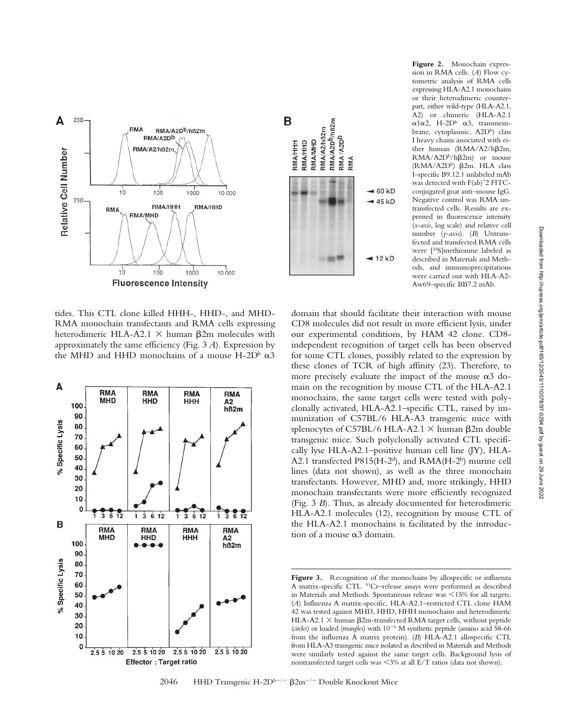

tides. This CTL clone killed HHH-, HHD-, and MHD-RMA monochain transfectants and RMA cells expressing heterodimeric HLA-A2.1  $\times$  human  $\beta$ 2m molecules with approximately the same efficiency (Fig. 3 *A*). Expression by the MHD and HHD monochains of a mouse H-2D $\alpha$   $\alpha$ 3





**Figure 2.** Monochain expression in RMA cells. (*A*) Flow cytometric analysis of RMA cells expressing HLA-A2.1 monochains or their heterodimeric counterpart, either wild-type (HLA-A2.1, A2) or chimeric (HLA-A2.1  $\alpha$ 1 $\alpha$ 2, H-2D<sup>b</sup>  $\alpha$ 3, transmembrane, cytoplasmic, A2D<sup>b</sup>) class I heavy chains associated with either human  $(RMA/A2/h\beta2m,$  $RMA/ A2D^b/h\beta 2m$  or mouse (RMA/A2D<sup>b</sup>)  $\beta$ 2m. HLA class I–specific B9.12.1 unlabeled mAb was detected with  $F(ab)'2 FITC$ conjugated goat anti–mouse IgG. Negative control was RMA untransfected cells. Results are expressed in fluorescence intensity (*x-axis*, log scale) and relative cell number (*y-axis*). (*B*) Untransfected and transfected RMA cells were [35S]methionine labeled as described in Materials and Methods, and immunoprecipitations were carried out with HLA-A2- Aw69–specific BB7.2 mAb.

domain that should facilitate their interaction with mouse CD8 molecules did not result in more efficient lysis, under our experimental conditions, by HAM 42 clone. CD8 independent recognition of target cells has been observed for some CTL clones, possibly related to the expression by these clones of TCR of high affinity (23). Therefore, to more precisely evaluate the impact of the mouse  $\alpha$ 3 domain on the recognition by mouse CTL of the HLA-A2.1 monochains, the same target cells were tested with polyclonally activated, HLA-A2.1–specific CTL, raised by immunization of C57BL/6 HLA-A3 transgenic mice with splenocytes of C57BL/6 HLA-A2.1  $\times$  human  $\beta$ 2m double transgenic mice. Such polyclonally activated CTL specifically lyse HLA-A2.1–positive human cell line (JY), HLA-A2.1 transfected P815(H-2<sup>d</sup>), and RMA(H-2<sup>b</sup>) murine cell lines (data not shown), as well as the three monochain transfectants. However, MHD and, more strikingly, HHD monochain transfectants were more efficiently recognized (Fig. 3 *B*). Thus, as already documented for heterodimeric HLA-A2.1 molecules (12), recognition by mouse CTL of the HLA-A2.1 monochains is facilitated by the introduction of a mouse  $\alpha$ 3 domain.

Figure 3. Recognition of the monochains by allospecific or influenza A matrix-specific CTL. 51Cr–release assays were performed as described in Materials and Methods. Spontaneous release was 15% for all targets. (*A*) Influenza A matrix-specific, HLA-A2.1–restricted CTL clone HAM 42 was tested against MHD, HHD, HHH monochains and heterodimeric HLA-A2.1  $\times$  human  $\beta$ 2m-transfected RMA target cells, without peptide (circles) or loaded (triangles) with 10<sup>-6</sup> M synthetic peptide (amino acid 58-66 from the influenza A matrix protein). (*B*) HLA-A2.1 allospecific CTL from HLA-A3 transgenic mice isolated as described in Materials and Methods were similarly tested against the same target cells. Background lysis of nontransfected target cells was 3% at all E/T ratios (data not shown).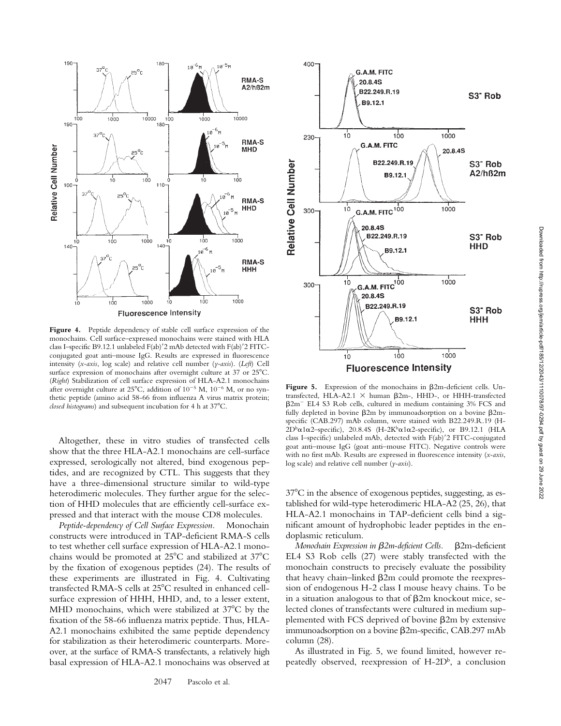

monochains. Cell surface–expressed monochains were stained with HLA class I–specific B9.12.1 unlabeled F(ab)'2 mAb detected with F(ab)'2 FITCconjugated goat anti–mouse IgG. Results are expressed in fluorescence intensity (*x-axis*, log scale) and relative cell number (*y-axis*). (*Left*) Cell surface expression of monochains after overnight culture at 37 or 25°C. (*Right*) Stabilization of cell surface expression of HLA-A2.1 monochains after overnight culture at 25°C, addition of  $10^{-5}$  M,  $10^{-6}$  M, or no synthetic peptide (amino acid 58-66 from influenza A virus matrix protein; *closed histograms*) and subsequent incubation for 4 h at 37°C.

180

 $100$ 

ò

า่ัด

'n

 $140$ 

 $110 -$ 

180

10000

 $100^{\circ}$ 

 $1000$ 

1000

190

 $100$ 

Ŕ.

190

 $100$ 

۱ċ

140

Relative Cell Number

1000

 $\frac{1}{10}$ 

100

 $100$ 

 $25^{\circ}$ 

Altogether, these in vitro studies of transfected cells show that the three HLA-A2.1 monochains are cell-surface expressed, serologically not altered, bind exogenous peptides, and are recognized by CTL. This suggests that they have a three-dimensional structure similar to wild-type heterodimeric molecules. They further argue for the selection of HHD molecules that are efficiently cell-surface expressed and that interact with the mouse CD8 molecules.

*Peptide-dependency of Cell Surface Expression.* Monochain constructs were introduced in TAP-deficient RMA-S cells to test whether cell surface expression of HLA-A2.1 monochains would be promoted at  $25^{\circ}$ C and stabilized at  $37^{\circ}$ C by the fixation of exogenous peptides (24). The results of these experiments are illustrated in Fig. 4. Cultivating transfected RMA-S cells at 25°C resulted in enhanced cellsurface expression of HHH, HHD, and, to a lesser extent, MHD monochains, which were stabilized at  $37^{\circ}$ C by the fixation of the 58-66 influenza matrix peptide. Thus, HLA-A2.1 monochains exhibited the same peptide dependency for stabilization as their heterodimeric counterparts. Moreover, at the surface of RMA-S transfectants, a relatively high basal expression of HLA-A2.1 monochains was observed at



Figure 5. Expression of the monochains in  $\beta$ 2m-deficient cells. Untransfected, HLA-A2.1  $\times$  human  $\beta$ 2m-, HHD-, or HHH-transfected  $\beta$ 2m<sup>-</sup> EL4 S3 Rob cells, cultured in medium containing 3% FCS and fully depleted in bovine  $\beta$ 2m by immunoadsorption on a bovine  $\beta$ 2mspecific (CAB.297) mAb column, were stained with B22.249.R.19 (H- $2D^{b}\alpha$ 1 $\alpha$ 2–specific), 20.8.4S (H-2K $^{b}\alpha$ 1 $\alpha$ 2–specific), or B9.12.1 (HLA class I-specific) unlabeled mAb, detected with F(ab)'2 FITC-conjugated goat anti–mouse IgG (goat anti–mouse FITC). Negative controls were with no first mAb. Results are expressed in fluorescence intensity (*x-axis*, log scale) and relative cell number (*y-axis*).

 $37^{\circ}$ C in the absence of exogenous peptides, suggesting, as established for wild-type heterodimeric HLA-A2 (25, 26), that HLA-A2.1 monochains in TAP-deficient cells bind a significant amount of hydrophobic leader peptides in the endoplasmic reticulum.

*Monochain Expression in 2m-deficient Cells.* 2m-deficient EL4 S3 Rob cells (27) were stably transfected with the monochain constructs to precisely evaluate the possibility that heavy chain–linked  $\beta$ 2m could promote the reexpres– sion of endogenous H-2 class I mouse heavy chains. To be in a situation analogous to that of  $\beta$ 2m knockout mice, selected clones of transfectants were cultured in medium supplemented with FCS deprived of bovine  $\beta$ 2m by extensive immunoadsorption on a bovine  $\beta$ 2m-specific, CAB.297 mAb column (28).

As illustrated in Fig. 5, we found limited, however repeatedly observed, reexpression of  $H$ -2 $D^b$ , a conclusion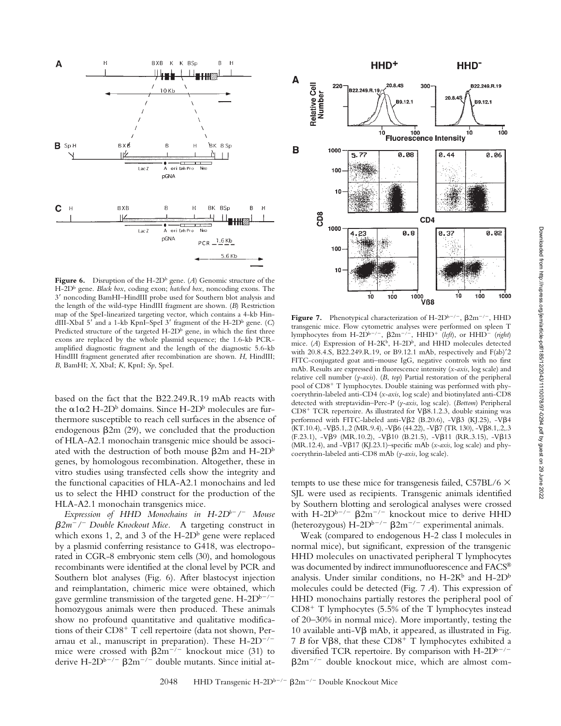

**Figure 6.** Disruption of the H-2D<sup>b</sup> gene. (*A*) Genomic structure of the H-2Db gene. *Black box*, coding exon; *hatched box*, noncoding exons. The 3 noncoding BamHI–HindIII probe used for Southern blot analysis and the length of the wild-type HindIII fragment are shown. (*B*) Restriction map of the SpeI-linearized targeting vector, which contains a 4-kb HindIII-XbaI 5' and a 1-kb KpnI-SpeI 3' fragment of the H-2D<sup>b</sup> gene. (C) Predicted structure of the targeted  $H$ -2D $<sup>b</sup>$  gene, in which the first three</sup> exons are replaced by the whole plasmid sequence; the 1.6-kb PCRamplified diagnostic fragment and the length of the diagnostic 5.6-kb HindIII fragment generated after recombination are shown. *H*, HindIII; *B*, BamHI; *X*, XbaI; *K*, KpnI; *Sp*, SpeI.

based on the fact that the B22.249.R.19 mAb reacts with the  $\alpha$ 1 $\alpha$ 2 H-2D<sup>b</sup> domains. Since H-2D<sup>b</sup> molecules are furthermore susceptible to reach cell surfaces in the absence of endogenous  $\beta$ 2m (29), we concluded that the production of HLA-A2.1 monochain transgenic mice should be associated with the destruction of both mouse  $\beta$ 2m and H-2Db genes, by homologous recombination. Altogether, these in vitro studies using transfected cells show the integrity and the functional capacities of HLA-A2.1 monochains and led us to select the HHD construct for the production of the HLA-A2.1 monochain transgenics mice.

*Expression of HHD Monochains in H-2D<sup>b-</sup>/<sup>-</sup> Mouse</sup> 2m/ Double Knockout Mice.* A targeting construct in which exons 1, 2, and 3 of the  $H$ -2D<sup>b</sup> gene were replaced by a plasmid conferring resistance to G418, was electroporated in CGR-8 embryonic stem cells (30), and homologous recombinants were identified at the clonal level by PCR and Southern blot analyses (Fig. 6). After blastocyst injection and reimplantation, chimeric mice were obtained, which gave germline transmission of the targeted gene.  $H\text{-}2D^{b-/-}$ homozygous animals were then produced. These animals show no profound quantitative and qualitative modifications of their CD8<sup>+</sup> T cell repertoire (data not shown, Perarnau et al., manuscript in preparation). These  $H\text{-}2D^{-/-}$ mice were crossed with  $\beta 2m^{-/-}$  knockout mice (31) to derive H-2D<sup>b-/-</sup>  $\beta$ 2m<sup>-/-</sup> double mutants. Since initial at-



**Figure 7.** Phenotypical characterization of  $H$ -2D<sup>b-/-</sup>,  $\beta$ 2m<sup>-/-</sup>, HHD transgenic mice. Flow cytometric analyses were performed on spleen T lymphocytes from H-2D<sup>b-/-</sup>,  $\beta 2m^{-/-}$ , HHD<sup>+</sup> (left), or HHD<sup>-</sup> (right) mice. (A) Expression of H-2K<sup>b</sup>, H-2D<sup>b</sup>, and HHD molecules detected with 20.8.4.S, B22.249.R.19, or B9.12.1 mAb, respectively and F(ab)'2 FITC-conjugated goat anti–mouse IgG, negative controls with no first mAb. Results are expressed in fluorescence intensity (*x-axis*, log scale) and relative cell number (*y-axis*). (*B*, *top*) Partial restoration of the peripheral pool of CD8<sup>+</sup> T lymphocytes. Double staining was performed with phycoerythrin-labeled anti-CD4 (*x-axis*, log scale) and biotinylated anti-CD8 detected with streptavidin–Perc-P (*y-axis*, log scale). (*Bottom*) Peripheral  $CD8<sup>+</sup> TCR$  repertoire. As illustrated for V $\beta$ 8.1.2.3, double staining was performed with FITC-labeled anti-V $\beta$ 2 (B.20.6), -V $\beta$ 3 (KJ.25), -V $\beta$ 4  $(KT.10.4)$ ,  $-V\beta5.1$ ,  $2$  (MR. 9.4),  $-V\beta6$  (44. 22),  $-V\beta7$  (TR 130),  $-V\beta8.1$ ,  $2$ ,  $3$  $(F.23.1)$ ,  $-V\beta$ 9 (MR.10.2),  $-V\beta$ 10 (B.21.5),  $-V\beta$ 11 (RR.3.15),  $-V\beta$ 13  $(MR.12.4)$ , and  $-V\beta17$  (KJ.23.1)–specific mAb (*x-axis*, log scale) and phycoerythrin-labeled anti-CD8 mAb (*y-axis*, log scale).

tempts to use these mice for transgenesis failed,  $C57BL/6 \times$ SJL were used as recipients. Transgenic animals identified by Southern blotting and serological analyses were crossed with H-2D<sup>b-/-</sup>  $\beta$ 2m<sup>-/-</sup> knockout mice to derive HHD (heterozygous)  $H-2D^{b-/-}$   $\beta 2m^{-/-}$  experimental animals.

Weak (compared to endogenous H-2 class I molecules in normal mice), but significant, expression of the transgenic HHD molecules on unactivated peripheral T lymphocytes was documented by indirect immunofluorescence and FACS® analysis. Under similar conditions, no  $H-2K^b$  and  $H-2D^b$ molecules could be detected (Fig. 7 *A*). This expression of HHD monochains partially restores the peripheral pool of CD8- T lymphocytes (5.5% of the T lymphocytes instead of 20–30% in normal mice). More importantly, testing the 10 available anti-V $\beta$  mAb, it appeared, as illustrated in Fig.  $7 B$  for V $\beta$ 8, that these  $CD8^+$  T lymphocytes exhibited a diversified TCR repertoire. By comparison with  $H\text{-}2D^{b-/-}$  $\beta$ 2m<sup>-/-</sup> double knockout mice, which are almost com-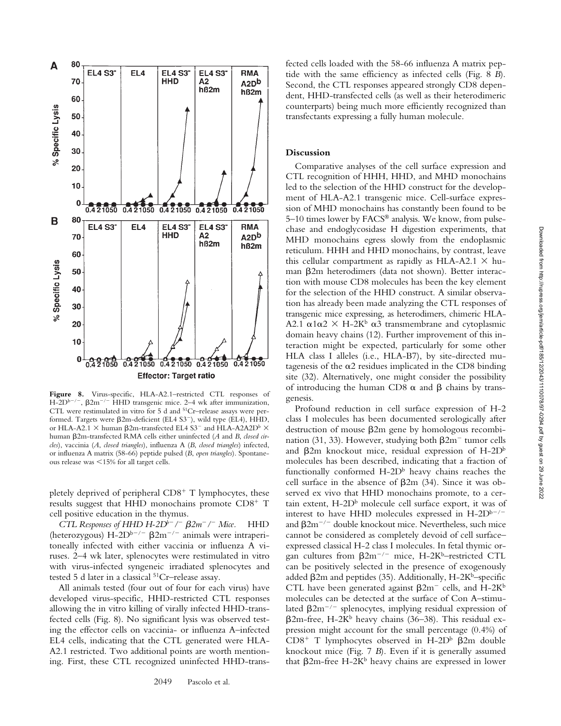

**Figure 8.** Virus-specific, HLA-A2.1–restricted CTL responses of H-2D<sup>b-/-</sup>,  $\beta$ 2m<sup>-/-</sup> HHD transgenic mice. 2–4 wk after immunization, CTL were restimulated in vitro for 5 d and <sup>51</sup>Cr-release assays were performed. Targets were  $\beta$ 2m-deficient (EL4 S3<sup>-</sup>), wild type (EL4), HHD, or HLA-A2.1  $\times$  human  $\beta$ 2m-transfected EL4 S3<sup>-</sup> and HLA-A2A2D<sup>b</sup>  $\times$ human  $\beta$ 2m-transfected RMA cells either uninfected (A and B, *closed circles*), vaccinia (*A*, *closed triangles*), influenza A (*B*, *closed triangles*) infected, or influenza A matrix (58-66) peptide pulsed (*B*, *open triangles*). Spontaneous release was 15% for all target cells.

pletely deprived of peripheral CD8<sup>+</sup> T lymphocytes, these results suggest that HHD monochains promote CD8<sup>+</sup> T cell positive education in the thymus.

*CTL Responses of HHD H-2Db<sup>* $-$ *</sup> /<sup>-</sup>*  $\beta$ *2m<sup>* $-$ *</sup> /<sup>-</sup> Mice. HHD* (heterozygous)  $H-2D^{b-/-}$   $\beta 2m^{-/-}$  animals were intraperitoneally infected with either vaccinia or influenza A viruses. 2–4 wk later, splenocytes were restimulated in vitro with virus-infected syngeneic irradiated splenocytes and tested 5 d later in a classical 51Cr–release assay.

All animals tested (four out of four for each virus) have developed virus-specific, HHD-restricted CTL responses allowing the in vitro killing of virally infected HHD-transfected cells (Fig. 8). No significant lysis was observed testing the effector cells on vaccinia- or influenza A–infected EL4 cells, indicating that the CTL generated were HLA-A2.1 restricted. Two additional points are worth mentioning. First, these CTL recognized uninfected HHD-transfected cells loaded with the 58-66 influenza A matrix peptide with the same efficiency as infected cells (Fig. 8 *B*). Second, the CTL responses appeared strongly CD8 dependent, HHD-transfected cells (as well as their heterodimeric counterparts) being much more efficiently recognized than transfectants expressing a fully human molecule.

## **Discussion**

Comparative analyses of the cell surface expression and CTL recognition of HHH, HHD, and MHD monochains led to the selection of the HHD construct for the development of HLA-A2.1 transgenic mice. Cell-surface expression of MHD monochains has constantly been found to be 5–10 times lower by FACS® analysis. We know, from pulsechase and endoglycosidase H digestion experiments, that MHD monochains egress slowly from the endoplasmic reticulum. HHH and HHD monochains, by contrast, leave this cellular compartment as rapidly as HLA-A2.1  $\times$  human  $\beta$ 2m heterodimers (data not shown). Better interaction with mouse CD8 molecules has been the key element for the selection of the HHD construct. A similar observation has already been made analyzing the CTL responses of transgenic mice expressing, as heterodimers, chimeric HLA-A2.1  $\alpha$ 1 $\alpha$ 2  $\times$  H-2K<sup>b</sup>  $\alpha$ 3 transmembrane and cytoplasmic domain heavy chains (12). Further improvement of this interaction might be expected, particularly for some other HLA class I alleles (i.e., HLA-B7), by site-directed mutagenesis of the  $\alpha$ 2 residues implicated in the CD8 binding site (32). Alternatively, one might consider the possibility of introducing the human CD8  $\alpha$  and  $\beta$  chains by transgenesis.

Profound reduction in cell surface expression of H-2 class I molecules has been documented serologically after destruction of mouse  $\beta$ 2m gene by homologous recombination (31, 33). However, studying both  $\beta 2m^-$  tumor cells and  $\beta$ 2m knockout mice, residual expression of H-2Db molecules has been described, indicating that a fraction of functionally conformed  $H$ -2D<sup>b</sup> heavy chains reaches the cell surface in the absence of  $\beta$ 2m (34). Since it was observed ex vivo that HHD monochains promote, to a certain extent,  $H\n-2D^b$  molecule cell surface export, it was of interest to have HHD molecules expressed in  $H$ -2D<sup>b-/-</sup> and  $\beta 2m^{-/-}$  double knockout mice. Nevertheless, such mice cannot be considered as completely devoid of cell surface– expressed classical H-2 class I molecules. In fetal thymic organ cultures from  $\beta 2m^{-/-}$  mice, H-2Kb–restricted CTL can be positively selected in the presence of exogenously added  $\beta$ 2m and peptides (35). Additionally, H-2K<sup>b</sup>–specific CTL have been generated against  $\beta 2m^-$  cells, and H-2K<sup>b</sup> molecules can be detected at the surface of Con A–stimulated  $\beta$ 2m<sup>-/-</sup> splenocytes, implying residual expression of  $\beta$ 2m-free, H-2K<sup>b</sup> heavy chains (36–38). This residual expression might account for the small percentage (0.4%) of CD8<sup>+</sup> T lymphocytes observed in H-2D<sup>b</sup>  $\beta$ 2m double knockout mice (Fig. 7 *B*). Even if it is generally assumed that  $\beta$ 2m-free H-2K<sup>b</sup> heavy chains are expressed in lower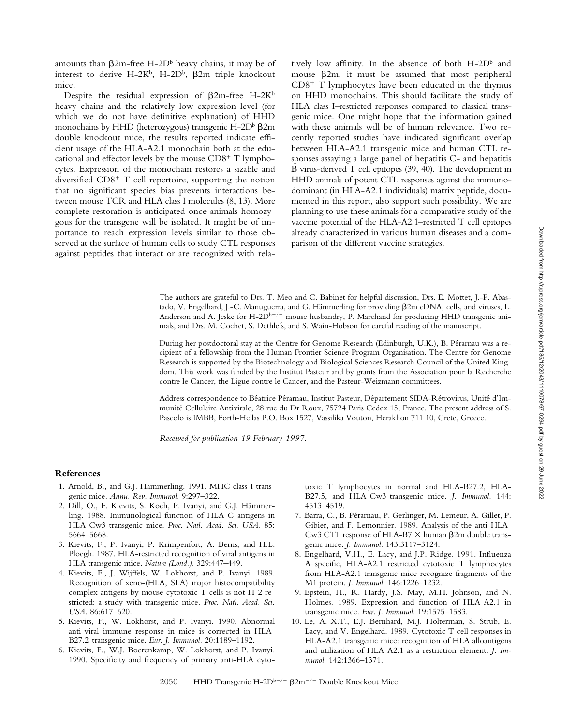Downloaded from htp://rupress.org/jem/article-pdf/185/12/2043/1110078/97-0294.pdf by guest on 29 June 2022 Downloaded from http://rupress.org/jem/article-pdf/185/12/2043/1110078/97-0294.pdf by guest on 29 June 2022

amounts than  $\beta$ 2m-free H-2D<sup>b</sup> heavy chains, it may be of interest to derive H-2K<sup>b</sup>, H-2D<sup>b</sup>,  $\beta$ 2m triple knockout mice.

Despite the residual expression of  $\beta$ 2m-free H-2Kb heavy chains and the relatively low expression level (for which we do not have definitive explanation) of HHD monochains by HHD (heterozygous) transgenic  $H$ -2D $\frac{b}{2}$   $\beta$ 2m double knockout mice, the results reported indicate efficient usage of the HLA-A2.1 monochain both at the educational and effector levels by the mouse CD8<sup>+</sup> T lymphocytes. Expression of the monochain restores a sizable and diversified CD8<sup>+</sup> T cell repertoire, supporting the notion that no significant species bias prevents interactions between mouse TCR and HLA class I molecules (8, 13). More complete restoration is anticipated once animals homozygous for the transgene will be isolated. It might be of importance to reach expression levels similar to those observed at the surface of human cells to study CTL responses against peptides that interact or are recognized with relatively low affinity. In the absence of both  $H\text{-}2D^b$  and mouse  $\beta$ 2m, it must be assumed that most peripheral  $CD8<sup>+</sup>$  T lymphocytes have been educated in the thymus on HHD monochains. This should facilitate the study of HLA class I–restricted responses compared to classical transgenic mice. One might hope that the information gained with these animals will be of human relevance. Two recently reported studies have indicated significant overlap between HLA-A2.1 transgenic mice and human CTL responses assaying a large panel of hepatitis C- and hepatitis B virus-derived T cell epitopes (39, 40). The development in HHD animals of potent CTL responses against the immunodominant (in HLA-A2.1 individuals) matrix peptide, documented in this report, also support such possibility. We are planning to use these animals for a comparative study of the vaccine potential of the HLA-A2.1–restricted T cell epitopes already characterized in various human diseases and a comparison of the different vaccine strategies.

The authors are grateful to Drs. T. Meo and C. Babinet for helpful discussion, Drs. E. Mottet, J.-P. Abastado, V. Engelhard, J.-C. Manuguerra, and G. Hämmerling for providing 2m cDNA, cells, and viruses, L. Anderson and A. Jeske for H-2D<sup>b-/-</sup> mouse husbandry, P. Marchand for producing HHD transgenic animals, and Drs. M. Cochet, S. Dethlefs, and S. Wain-Hobson for careful reading of the manuscript.

During her postdoctoral stay at the Centre for Genome Research (Edinburgh, U.K.), B. Pérarnau was a recipient of a fellowship from the Human Frontier Science Program Organisation. The Centre for Genome Research is supported by the Biotechnology and Biological Sciences Research Council of the United Kingdom. This work was funded by the Institut Pasteur and by grants from the Association pour la Recherche contre le Cancer, the Ligue contre le Cancer, and the Pasteur-Weizmann committees.

Address correspondence to Béatrice Pérarnau, Institut Pasteur, Département SIDA-Rétrovirus, Unité d'Immunité Cellulaire Antivirale, 28 rue du Dr Roux, 75724 Paris Cedex 15, France. The present address of S. Pascolo is IMBB, Forth-Hellas P.O. Box 1527, Vassilika Vouton, Heraklion 711 10, Crete, Greece.

*Received for publication 19 February 1997.*

#### **References**

- 1. Arnold, B., and G.J. Hämmerling. 1991. MHC class-I transgenic mice. *Annu. Rev. Immunol.* 9:297–322.
- 2. Dill, O., F. Kievits, S. Koch, P. Ivanyi, and G.J. Hämmerling. 1988. Immunological function of HLA-C antigens in HLA-Cw3 transgenic mice. *Proc. Natl. Acad. Sci. USA.* 85: 5664–5668.
- 3. Kievits, F., P. Ivanyi, P. Krimpenfort, A. Berns, and H.L. Ploegh. 1987. HLA-restricted recognition of viral antigens in HLA transgenic mice. *Nature (Lond.).* 329:447–449.
- 4. Kievits, F., J. Wijffels, W. Lokhorst, and P. Ivanyi. 1989. Recognition of xeno-(HLA, SLA) major histocompatibility complex antigens by mouse cytotoxic T cells is not H-2 restricted: a study with transgenic mice. *Proc. Natl. Acad. Sci. USA.* 86:617–620.
- 5. Kievits, F., W. Lokhorst, and P. Ivanyi. 1990. Abnormal anti-viral immune response in mice is corrected in HLA-B27.2-transgenic mice. *Eur. J. Immunol.* 20:1189–1192.
- 6. Kievits, F., W.J. Boerenkamp, W. Lokhorst, and P. Ivanyi. 1990. Specificity and frequency of primary anti-HLA cyto-

toxic T lymphocytes in normal and HLA-B27.2, HLA-B27.5, and HLA-Cw3-transgenic mice. *J. Immunol.* 144: 4513–4519.

- 7. Barra, C., B. Pérarnau, P. Gerlinger, M. Lemeur, A. Gillet, P. Gibier, and F. Lemonnier. 1989. Analysis of the anti-HLA-Cw3 CTL response of HLA-B7  $\times$  human  $\beta$ 2m double transgenic mice. *J. Immunol.* 143:3117–3124.
- 8. Engelhard, V.H., E. Lacy, and J.P. Ridge. 1991. Influenza A–specific, HLA-A2.1 restricted cytotoxic T lymphocytes from HLA-A2.1 transgenic mice recognize fragments of the M1 protein. *J. Immunol.* 146:1226–1232.
- 9. Epstein, H., R. Hardy, J.S. May, M.H. Johnson, and N. Holmes. 1989. Expression and function of HLA-A2.1 in transgenic mice. *Eur. J. Immunol.* 19:1575–1583.
- 10. Le, A.-X.T., E.J. Bernhard, M.J. Holterman, S. Strub, E. Lacy, and V. Engelhard. 1989. Cytotoxic T cell responses in HLA-A2.1 transgenic mice: recognition of HLA alloantigens and utilization of HLA-A2.1 as a restriction element. *J. Immunol.* 142:1366–1371.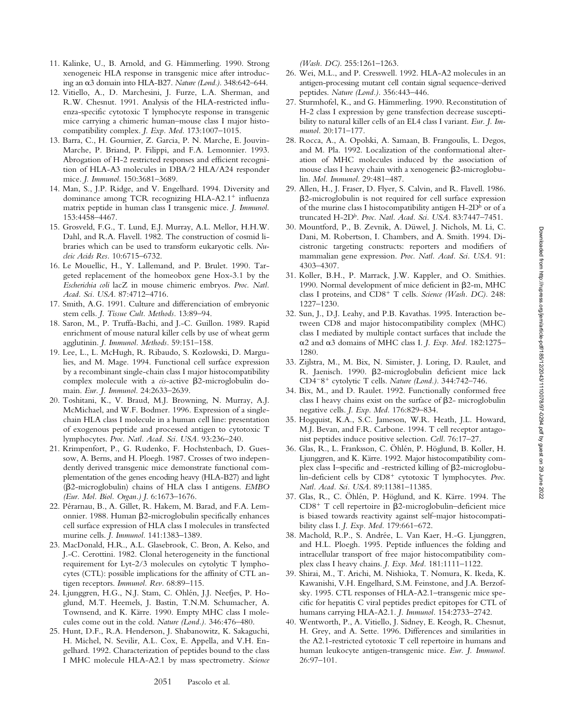- 11. Kalinke, U., B. Arnold, and G. Hämmerling. 1990. Strong xenogeneic HLA response in transgenic mice after introducing an α3 domain into HLA-B27. *Nature (Lond.)*. 348:642-644.
- 12. Vitiello, A., D. Marchesini, J. Furze, L.A. Sherman, and R.W. Chesnut. 1991. Analysis of the HLA-restricted influenza-specific cytotoxic T lymphocyte response in transgenic mice carrying a chimeric human–mouse class I major histocompatibility complex. *J. Exp. Med.* 173:1007–1015.
- 13. Barra, C., H. Gournier, Z. Garcia, P. N. Marche, E. Jouvin-Marche, P. Briand, P. Filippi, and F.A. Lemonnier. 1993. Abrogation of H-2 restricted responses and efficient recognition of HLA-A3 molecules in DBA/2 HLA/A24 responder mice. *J. Immunol.* 150:3681–3689.
- 14. Man, S., J.P. Ridge, and V. Engelhard. 1994. Diversity and dominance among TCR recognizing HLA-A2.1<sup>+</sup> influenza matrix peptide in human class I transgenic mice. *J. Immunol.* 153:4458–4467.
- 15. Grosveld, F.G., T. Lund, E.J. Murray, A.L. Mellor, H.H.W. Dahl, and R.A. Flavell. 1982. The construction of cosmid libraries which can be used to transform eukaryotic cells. *Nucleic Acids Res.* 10:6715–6732.
- 16. Le Mouellic, H., Y. Lallemand, and P. Brulet. 1990. Targeted replacement of the homeobox gene Hox-3.1 by the *Escherichia coli* lacZ in mouse chimeric embryos. *Proc. Natl. Acad. Sci. USA.* 87:4712–4716.
- 17. Smith, A.G. 1991. Culture and differenciation of embryonic stem cells. *J. Tissue Cult. Methods.* 13:89–94.
- 18. Saron, M., P. Truffa-Bachi, and J.-C. Guillon. 1989. Rapid enrichment of mouse natural killer cells by use of wheat germ agglutinin. *J. Immunol. Methods.* 59:151–158.
- 19. Lee, L., L. McHugh, R. Ribaudo, S. Kozlowski, D. Margulies, and M. Mage. 1994. Functional cell surface expression by a recombinant single-chain class I major histocompatibility complex molecule with a *cis*-active β2-microglobulin domain. *Eur. J. Immunol.* 24:2633–2639.
- 20. Toshitani, K., V. Braud, M.J. Browning, N. Murray, A.J. McMichael, and W.F. Bodmer. 1996. Expression of a singlechain HLA class I molecule in a human cell line: presentation of exogenous peptide and processed antigen to cytotoxic T lymphocytes. *Proc. Natl. Acad. Sci. USA.* 93:236–240.
- 21. Krimpenfort, P., G. Rudenko, F. Hochstenbach, D. Guessow, A. Berns, and H. Ploegh. 1987. Crosses of two independently derived transgenic mice demonstrate functional complementation of the genes encoding heavy (HLA-B27) and light (2-microglobulin) chains of HLA class I antigens. *EMBO (Eur. Mol. Biol. Organ.) J.* 6:1673–1676.
- 22. Pérarnau, B., A. Gillet, R. Hakem, M. Barad, and F.A. Lemonnier. 1988. Human  $\beta$ 2-microglobulin specifically enhances cell surface expression of HLA class I molecules in transfected murine cells. *J. Immunol.* 141:1383–1389.
- 23. MacDonald, H.R., A.L. Glasebrook, C. Bron, A. Kelso, and J.-C. Cerottini. 1982. Clonal heterogeneity in the functional requirement for Lyt-2/3 molecules on cytolytic T lymphocytes (CTL): possible implications for the affinity of CTL antigen receptors. *Immunol. Rev.* 68:89–115.
- 24. Ljunggren, H.G., N.J. Stam, C. Ohlén, J.J. Neefjes, P. Hoglund, M.T. Heemels, J. Bastin, T.N.M. Schumacher, A. Townsend, and K. Kärre. 1990. Empty MHC class I molecules come out in the cold. *Nature (Lond.).* 346:476–480.
- 25. Hunt, D.F., R.A. Henderson, J. Shabanowitz, K. Sakaguchi, H. Michel, N. Sevilir, A.L. Cox, E. Appella, and V.H. Engelhard. 1992. Characterization of peptides bound to the class I MHC molecule HLA-A2.1 by mass spectrometry. *Science*

*(Wash. DC).* 255:1261–1263.

- 26. Wei, M.L., and P. Cresswell. 1992. HLA-A2 molecules in an antigen-processing mutant cell contain signal sequence–derived peptides. *Nature (Lond.).* 356:443–446.
- 27. Sturmhofel, K., and G. Hämmerling. 1990. Reconstitution of H-2 class I expression by gene transfection decrease susceptibility to natural killer cells of an EL4 class I variant. *Eur. J. Immunol.* 20:171–177.
- 28. Rocca, A., A. Opolski, A. Samaan, B. Frangoulis, L. Degos, and M. Pla. 1992. Localization of the conformational alteration of MHC molecules induced by the association of mouse class I heavy chain with a xenogeneic  $\beta$ 2-microglobulin. *Mol. Immunol.* 29:481–487.
- 29. Allen, H., J. Fraser, D. Flyer, S. Calvin, and R. Flavell. 1986. 2-microglobulin is not required for cell surface expression of the murine class I histocompatibility antigen  $H$ -2D<sup>b</sup> or of a truncated H-2Db. *Proc. Natl. Acad. Sci. USA.* 83:7447–7451.
- 30. Mountford, P., B. Zevnik, A. Düwel, J. Nichols, M. Li, C. Dani, M. Robertson, I. Chambers, and A. Smith. 1994. Dicistronic targeting constructs: reporters and modifiers of mammalian gene expression. *Proc. Natl. Acad. Sci. USA.* 91: 4303–4307.
- 31. Koller, B.H., P. Marrack, J.W. Kappler, and O. Smithies. 1990. Normal development of mice deficient in β2-m, MHC class I proteins, and CD8<sup>+</sup> T cells. Science (Wash. DC). 248: 1227–1230.
- 32. Sun, J., D.J. Leahy, and P.B. Kavathas. 1995. Interaction between CD8 and major histocompatibility complex (MHC) class I mediated by multiple contact surfaces that include the  $\alpha$ 2 and  $\alpha$ 3 domains of MHC class I. *J. Exp. Med.* 182:1275– 1280.
- 33. Zijlstra, M., M. Bix, N. Simister, J. Loring, D. Raulet, and R. Jaenisch. 1990. ß2-microglobulin deficient mice lack CD4<sup>-8+</sup> cytolytic T cells. Nature (Lond.). 344:742-746.
- 34. Bix, M., and D. Raulet. 1992. Functionally conformed free class I heavy chains exist on the surface of  $\beta$ 2- microglobulin negative cells. *J. Exp. Med.* 176:829–834.
- 35. Hogquist, K.A., S.C. Jameson, W.R. Heath, J.L. Howard, M.J. Bevan, and F.R. Carbone. 1994. T cell receptor antagonist peptides induce positive selection. *Cell.* 76:17–27.
- 36. Glas, R., L. Franksson, C. Öhlén, P. Höglund, B. Koller, H. Ljunggren, and K. Kärre. 1992. Major histocompatibility complex class I-specific and -restricted killing of  $\beta$ 2-microglobulin-deficient cells by CD8<sup>+</sup> cytotoxic T lymphocytes. Proc. *Natl. Acad. Sci. USA.* 89:11381–11385.
- 37. Glas, R., C. Öhlén, P. Höglund, and K. Kärre. 1994. The CD8<sup>+</sup> T cell repertoire in  $\beta$ 2-microglobulin-deficient mice is biased towards reactivity against self–major histocompatibility class I. *J. Exp. Med.* 179:661–672.
- 38. Machold, R.P., S. Andrée, L. Van Kaer, H.-G. Ljunggren, and H.L. Ploegh. 1995. Peptide influences the folding and intracellular transport of free major histocompatibility complex class I heavy chains. *J. Exp. Med.* 181:1111–1122.
- 39. Shirai, M., T. Arichi, M. Nishioka, T. Nomura, K. Ikeda, K. Kawanishi, V.H. Engelhard, S.M. Feinstone, and J.A. Berzofsky. 1995. CTL responses of HLA-A2.1–transgenic mice specific for hepatitis C viral peptides predict epitopes for CTL of humans carrying HLA-A2.1. *J. Immunol.* 154:2733–2742.
- 40. Wentworth, P., A. Vitiello, J. Sidney, E. Keogh, R. Chesnut, H. Grey, and A. Sette. 1996. Differences and similarities in the A2.1-restricted cytotoxic T cell repertoire in humans and human leukocyte antigen-transgenic mice. *Eur. J. Immunol.* 26:97–101.